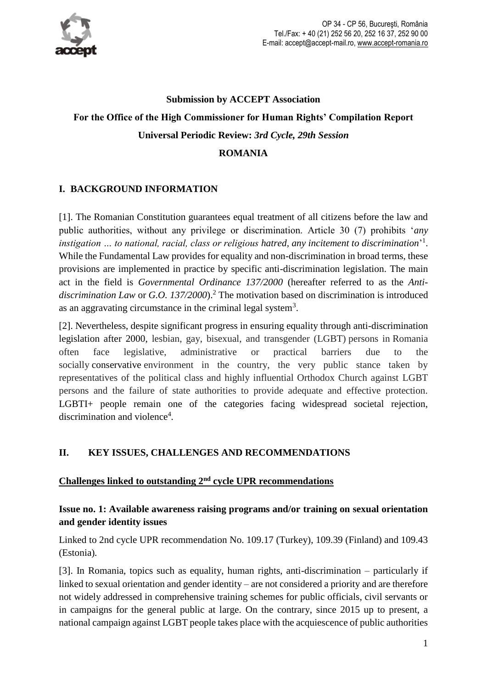

# **Submission by ACCEPT Association For the Office of the High Commissioner for Human Rights' Compilation Report Universal Periodic Review:** *3rd Cycle, 29th Session* **ROMANIA**

## **I. BACKGROUND INFORMATION**

[1]. The Romanian Constitution guarantees equal treatment of all citizens before the law and public authorities, without any privilege or discrimination. Article 30 (7) prohibits '*any instigation … to national, racial, class or religious hatred, any incitement to discrimination*' 1 . While the Fundamental Law provides for equality and non-discrimination in broad terms, these provisions are implemented in practice by specific anti-discrimination legislation. The main act in the field is *Governmental Ordinance 137/2000* (hereafter referred to as the *Antidiscrimination Law* or *G.O. 137/2000*). <sup>2</sup> The motivation based on discrimination is introduced as an aggravating circumstance in the criminal legal system $3$ .

[2]. Nevertheless, despite significant progress in ensuring equality through anti-discrimination legislation after 2000, lesbian, gay, bisexual, and transgender (LGBT) persons in Romania often face legislative, administrative or practical barriers due to the socially conservative environment in the country, the very public stance taken by representatives of the political class and highly influential Orthodox Church against LGBT persons and the failure of state authorities to provide adequate and effective protection. LGBTI+ people remain one of the categories facing widespread societal rejection, discrimination and violence<sup>4</sup>.

## **II. KEY ISSUES, CHALLENGES AND RECOMMENDATIONS**

#### **Challenges linked to outstanding 2nd cycle UPR recommendations**

#### **Issue no. 1: Available awareness raising programs and/or training on sexual orientation and gender identity issues**

Linked to 2nd cycle UPR recommendation No. 109.17 (Turkey), 109.39 (Finland) and 109.43 (Estonia)*.*

[3]. In Romania, topics such as equality, human rights, anti-discrimination – particularly if linked to sexual orientation and gender identity – are not considered a priority and are therefore not widely addressed in comprehensive training schemes for public officials, civil servants or in campaigns for the general public at large. On the contrary, since 2015 up to present, a national campaign against LGBT people takes place with the acquiescence of public authorities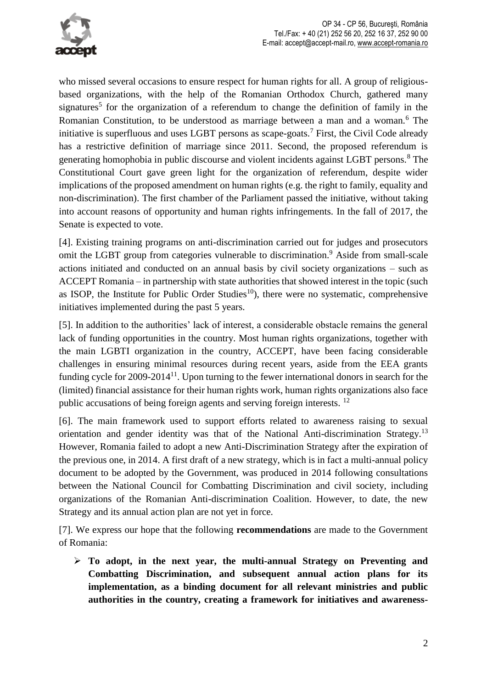

who missed several occasions to ensure respect for human rights for all. A group of religiousbased organizations, with the help of the Romanian Orthodox Church, gathered many signatures<sup>5</sup> for the organization of a referendum to change the definition of family in the Romanian Constitution, to be understood as marriage between a man and a woman.<sup>6</sup> The initiative is superfluous and uses LGBT persons as scape-goats.<sup>7</sup> First, the Civil Code already has a restrictive definition of marriage since 2011. Second, the proposed referendum is generating homophobia in public discourse and violent incidents against LGBT persons.<sup>8</sup> The Constitutional Court gave green light for the organization of referendum, despite wider implications of the proposed amendment on human rights (e.g. the right to family, equality and non-discrimination). The first chamber of the Parliament passed the initiative, without taking into account reasons of opportunity and human rights infringements. In the fall of 2017, the Senate is expected to vote.

[4]. Existing training programs on anti-discrimination carried out for judges and prosecutors omit the LGBT group from categories vulnerable to discrimination.<sup>9</sup> Aside from small-scale actions initiated and conducted on an annual basis by civil society organizations – such as ACCEPT Romania – in partnership with state authorities that showed interest in the topic (such as ISOP, the Institute for Public Order Studies<sup>10</sup>), there were no systematic, comprehensive initiatives implemented during the past 5 years.

[5]. In addition to the authorities' lack of interest, a considerable obstacle remains the general lack of funding opportunities in the country. Most human rights organizations, together with the main LGBTI organization in the country, ACCEPT, have been facing considerable challenges in ensuring minimal resources during recent years, aside from the EEA grants funding cycle for  $2009-2014^{11}$ . Upon turning to the fewer international donors in search for the (limited) financial assistance for their human rights work, human rights organizations also face public accusations of being foreign agents and serving foreign interests. <sup>12</sup>

[6]. The main framework used to support efforts related to awareness raising to sexual orientation and gender identity was that of the National Anti-discrimination Strategy.<sup>13</sup> However, Romania failed to adopt a new Anti-Discrimination Strategy after the expiration of the previous one, in 2014. A first draft of a new strategy, which is in fact a multi-annual policy document to be adopted by the Government, was produced in 2014 following consultations between the National Council for Combatting Discrimination and civil society, including organizations of the Romanian Anti-discrimination Coalition. However, to date, the new Strategy and its annual action plan are not yet in force.

[7]. We express our hope that the following **recommendations** are made to the Government of Romania:

 **To adopt, in the next year, the multi-annual Strategy on Preventing and Combatting Discrimination, and subsequent annual action plans for its implementation, as a binding document for all relevant ministries and public authorities in the country, creating a framework for initiatives and awareness-**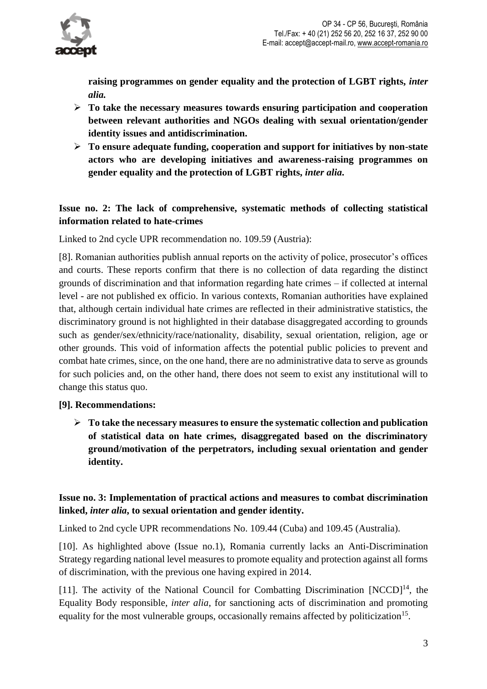

**raising programmes on gender equality and the protection of LGBT rights,** *inter alia.*

- **To take the necessary measures towards ensuring participation and cooperation between relevant authorities and NGOs dealing with sexual orientation/gender identity issues and antidiscrimination.**
- **To ensure adequate funding, cooperation and support for initiatives by non-state actors who are developing initiatives and awareness-raising programmes on gender equality and the protection of LGBT rights,** *inter alia***.**

# **Issue no. 2: The lack of comprehensive, systematic methods of collecting statistical information related to hate-crimes**

Linked to 2nd cycle UPR recommendation no. 109.59 (Austria):

[8]. Romanian authorities publish annual reports on the activity of police, prosecutor's offices and courts. These reports confirm that there is no collection of data regarding the distinct grounds of discrimination and that information regarding hate crimes – if collected at internal level - are not published ex officio. In various contexts, Romanian authorities have explained that, although certain individual hate crimes are reflected in their administrative statistics, the discriminatory ground is not highlighted in their database disaggregated according to grounds such as gender/sex/ethnicity/race/nationality, disability, sexual orientation, religion, age or other grounds. This void of information affects the potential public policies to prevent and combat hate crimes, since, on the one hand, there are no administrative data to serve as grounds for such policies and, on the other hand, there does not seem to exist any institutional will to change this status quo.

## **[9]. Recommendations:**

 **To take the necessary measures to ensure the systematic collection and publication of statistical data on hate crimes, disaggregated based on the discriminatory ground/motivation of the perpetrators, including sexual orientation and gender identity.**

# **Issue no. 3: Implementation of practical actions and measures to combat discrimination linked,** *inter alia***, to sexual orientation and gender identity.**

Linked to 2nd cycle UPR recommendations No. 109.44 (Cuba) and 109.45 (Australia).

[10]. As highlighted above (Issue no.1), Romania currently lacks an Anti-Discrimination Strategy regarding national level measures to promote equality and protection against all forms of discrimination, with the previous one having expired in 2014.

[11]. The activity of the National Council for Combatting Discrimination  $[NCCD]^{14}$ , the Equality Body responsible, *inter alia*, for sanctioning acts of discrimination and promoting equality for the most vulnerable groups, occasionally remains affected by politicization<sup>15</sup>.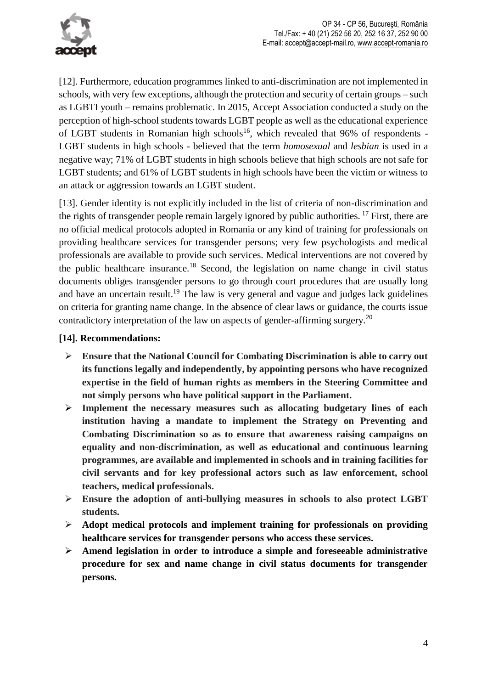

[12]. Furthermore, education programmes linked to anti-discrimination are not implemented in schools, with very few exceptions, although the protection and security of certain groups – such as LGBTI youth – remains problematic. In 2015, Accept Association conducted a study on the perception of high-school students towards LGBT people as well as the educational experience of LGBT students in Romanian high schools<sup>16</sup>, which revealed that 96% of respondents -LGBT students in high schools - believed that the term *homosexual* and *lesbian* is used in a negative way; 71% of LGBT students in high schools believe that high schools are not safe for LGBT students; and 61% of LGBT students in high schools have been the victim or witness to an attack or aggression towards an LGBT student.

[13]. Gender identity is not explicitly included in the list of criteria of non-discrimination and the rights of transgender people remain largely ignored by public authorities.  $^{17}$  First, there are no official medical protocols adopted in Romania or any kind of training for professionals on providing healthcare services for transgender persons; very few psychologists and medical professionals are available to provide such services. Medical interventions are not covered by the public healthcare insurance.<sup>18</sup> Second, the legislation on name change in civil status documents obliges transgender persons to go through court procedures that are usually long and have an uncertain result.<sup>19</sup> The law is very general and vague and judges lack guidelines on criteria for granting name change. In the absence of clear laws or guidance, the courts issue contradictory interpretation of the law on aspects of gender-affirming surgery.<sup>20</sup>

#### **[14]. Recommendations:**

- **Ensure that the National Council for Combating Discrimination is able to carry out its functions legally and independently, by appointing persons who have recognized expertise in the field of human rights as members in the Steering Committee and not simply persons who have political support in the Parliament.**
- **Implement the necessary measures such as allocating budgetary lines of each institution having a mandate to implement the Strategy on Preventing and Combating Discrimination so as to ensure that awareness raising campaigns on equality and non-discrimination, as well as educational and continuous learning programmes, are available and implemented in schools and in training facilities for civil servants and for key professional actors such as law enforcement, school teachers, medical professionals.**
- **Ensure the adoption of anti-bullying measures in schools to also protect LGBT students.**
- **Adopt medical protocols and implement training for professionals on providing healthcare services for transgender persons who access these services.**
- **Amend legislation in order to introduce a simple and foreseeable administrative procedure for sex and name change in civil status documents for transgender persons.**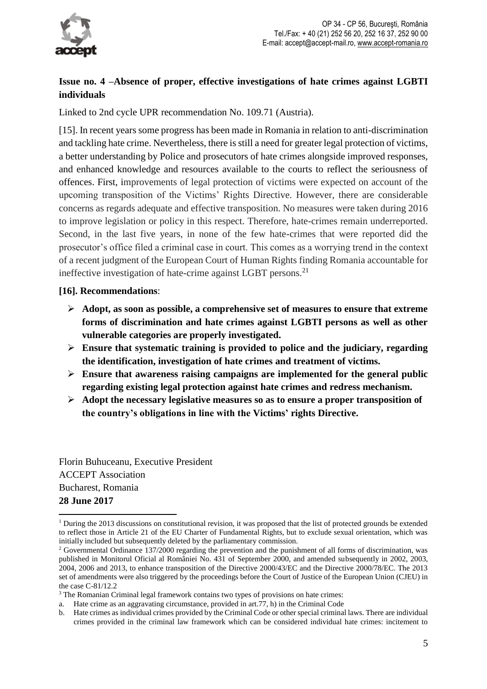

# **Issue no. 4 –Absence of proper, effective investigations of hate crimes against LGBTI individuals**

Linked to 2nd cycle UPR recommendation No. 109.71 (Austria).

[15]. In recent years some progress has been made in Romania in relation to anti-discrimination and tackling hate crime. Nevertheless, there is still a need for greater legal protection of victims, a better understanding by Police and prosecutors of hate crimes alongside improved responses, and enhanced knowledge and resources available to the courts to reflect the seriousness of offences. First, improvements of legal protection of victims were expected on account of the upcoming transposition of the Victims' Rights Directive. However, there are considerable concerns as regards adequate and effective transposition. No measures were taken during 2016 to improve legislation or policy in this respect. Therefore, hate-crimes remain underreported. Second, in the last five years, in none of the few hate-crimes that were reported did the prosecutor's office filed a criminal case in court. This comes as a worrying trend in the context of a recent judgment of the European Court of Human Rights finding Romania accountable for ineffective investigation of hate-crime against LGBT persons.<sup>21</sup>

#### **[16]. Recommendations**:

- **Adopt, as soon as possible, a comprehensive set of measures to ensure that extreme forms of discrimination and hate crimes against LGBTI persons as well as other vulnerable categories are properly investigated.**
- **Ensure that systematic training is provided to police and the judiciary, regarding the identification, investigation of hate crimes and treatment of victims.**
- **Ensure that awareness raising campaigns are implemented for the general public regarding existing legal protection against hate crimes and redress mechanism.**
- **Adopt the necessary legislative measures so as to ensure a proper transposition of the country's obligations in line with the Victims' rights Directive.**

Florin Buhuceanu, Executive President ACCEPT Association Bucharest, Romania **28 June 2017**

**.** 

<sup>&</sup>lt;sup>1</sup> During the 2013 discussions on constitutional revision, it was proposed that the list of protected grounds be extended to reflect those in Article 21 of the EU Charter of Fundamental Rights, but to exclude sexual orientation, which was initially included but subsequently deleted by the parliamentary commission.

<sup>&</sup>lt;sup>2</sup> Governmental Ordinance 137/2000 regarding the prevention and the punishment of all forms of discrimination, was published in Monitorul Oficial al României No. 431 of September 2000, and amended subsequently in 2002, 2003, 2004, 2006 and 2013, to enhance transposition of the Directive 2000/43/EC and the Directive 2000/78/EC. The 2013 set of amendments were also triggered by the proceedings before the Court of Justice of the European Union (CJEU) in the case C-81/12.2

<sup>&</sup>lt;sup>3</sup> The Romanian Criminal legal framework contains two types of provisions on hate crimes:

a. Hate crime as an aggravating circumstance, provided in art.77, h) in the Criminal Code

b. Hate crimes as individual crimes provided by the Criminal Code or other special criminal laws. There are individual crimes provided in the criminal law framework which can be considered individual hate crimes: incitement to